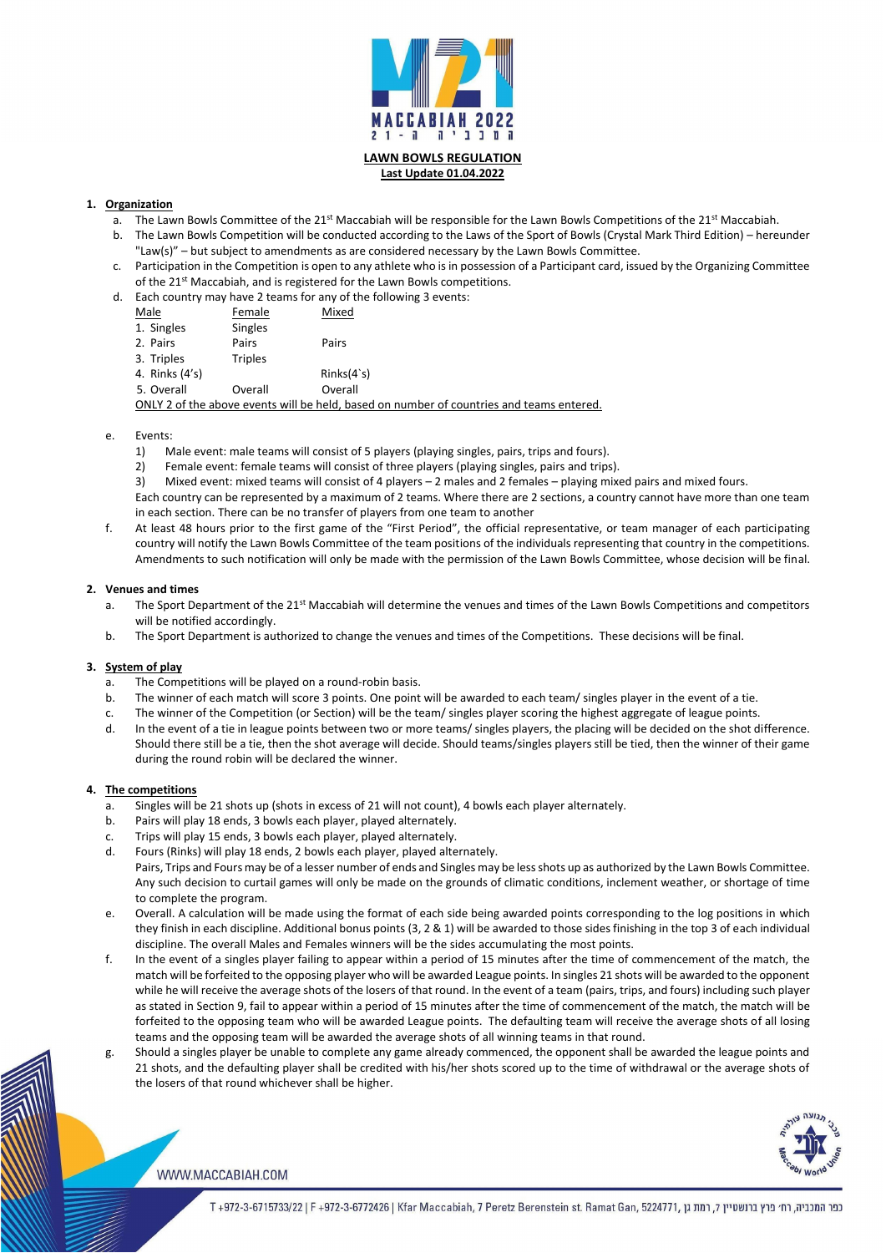

## **Last Update 01.04.2022**

## **1. Organization**

- a. The Lawn Bowls Committee of the  $21^{st}$  Maccabiah will be responsible for the Lawn Bowls Competitions of the  $21^{st}$  Maccabiah.
- b. The Lawn Bowls Competition will be conducted according to the Laws of the Sport of Bowls (Crystal Mark Third Edition) hereunder "Law(s)" – but subject to amendments as are considered necessary by the Lawn Bowls Committee.
- c. Participation in the Competition is open to any athlete who is in possession of a Participant card, issued by the Organizing Committee of the 21<sup>st</sup> Maccabiah, and is registered for the Lawn Bowls competitions.
- d. Each country may have 2 teams for any of the following 3 events:

| Male                                                                                     | Female         | Mixed      |
|------------------------------------------------------------------------------------------|----------------|------------|
| 1. Singles                                                                               | Singles        |            |
| 2. Pairs                                                                                 | Pairs          | Pairs      |
| 3. Triples                                                                               | <b>Triples</b> |            |
| 4. Rinks (4's)                                                                           |                | Rinks(4's) |
| 5. Overall                                                                               | Overall        | Overall    |
| ONLY 2 of the above events will be held, based on number of countries and teams entered. |                |            |

#### e. Events:

- a. The Sport Department of the 21<sup>st</sup> Maccabiah will determine the venues and times of the Lawn Bowls Competitions and competitors will be notified accordingly.
- b. The Sport Department is authorized to change the venues and times of the Competitions. These decisions will be final.
- 1) Male event: male teams will consist of 5 players (playing singles, pairs, trips and fours).
- 2) Female event: female teams will consist of three players (playing singles, pairs and trips).
- 3) Mixed event: mixed teams will consist of 4 players 2 males and 2 females playing mixed pairs and mixed fours.

Each country can be represented by a maximum of 2 teams. Where there are 2 sections, a country cannot have more than one team in each section. There can be no transfer of players from one team to another

f. At least 48 hours prior to the first game of the "First Period", the official representative, or team manager of each participating country will notify the Lawn Bowls Committee of the team positions of the individuals representing that country in the competitions. Amendments to such notification will only be made with the permission of the Lawn Bowls Committee, whose decision will be final.

#### **2. Venues and times**

#### **3. System of play**

- a. The Competitions will be played on a round-robin basis.
- b. The winner of each match will score 3 points. One point will be awarded to each team/ singles player in the event of a tie.
- c. The winner of the Competition (or Section) will be the team/ singles player scoring the highest aggregate of league points.
- d. In the event of a tie in league points between two or more teams/ singles players, the placing will be decided on the shot difference. Should there still be a tie, then the shot average will decide. Should teams/singles players still be tied, then the winner of their game during the round robin will be declared the winner.

#### **4. The competitions**

- a. Singles will be 21 shots up (shots in excess of 21 will not count), 4 bowls each player alternately.
- b. Pairs will play 18 ends, 3 bowls each player, played alternately.
- c. Trips will play 15 ends, 3 bowls each player, played alternately.
- d. Fours (Rinks) will play 18 ends, 2 bowls each player, played alternately.
	- Pairs, Trips and Fours may be of a lesser number of ends and Singles may be less shots up as authorized by the Lawn Bowls Committee. Any such decision to curtail games will only be made on the grounds of climatic conditions, inclement weather, or shortage of time to complete the program.
- e. Overall. A calculation will be made using the format of each side being awarded points corresponding to the log positions in which they finish in each discipline. Additional bonus points (3, 2 & 1) will be awarded to those sides finishing in the top 3 of each individual discipline. The overall Males and Females winners will be the sides accumulating the most points.
	-
- f. In the event of a singles player failing to appear within a period of 15 minutes after the time of commencement of the match, the match will be forfeited to the opposing player who will be awarded League points. In singles 21 shots will be awarded to the opponent while he will receive the average shots of the losers of that round. In the event of a team (pairs, trips, and fours) including such player as stated in Section 9, fail to appear within a period of 15 minutes after the time of commencement of the match, the match will be forfeited to the opposing team who will be awarded League points. The defaulting team will receive the average shots of all losing teams and the opposing team will be awarded the average shots of all winning teams in that round.
- g. Should a singles player be unable to complete any game already commenced, the opponent shall be awarded the league points and 21 shots, and the defaulting player shall be credited with his/her shots scored up to the time of withdrawal or the average shots of the losers of that round whichever shall be higher.



#### WWW.MACCABIAH.COM

כפר המכביה, רח׳ פרץ ברנשטיין 7, רמת גן ,972-3-6715733/22 | F +972-3-6772426 | Kfar Maccabiah, 7 Peretz Berenstein st. Ramat Gan, 5224771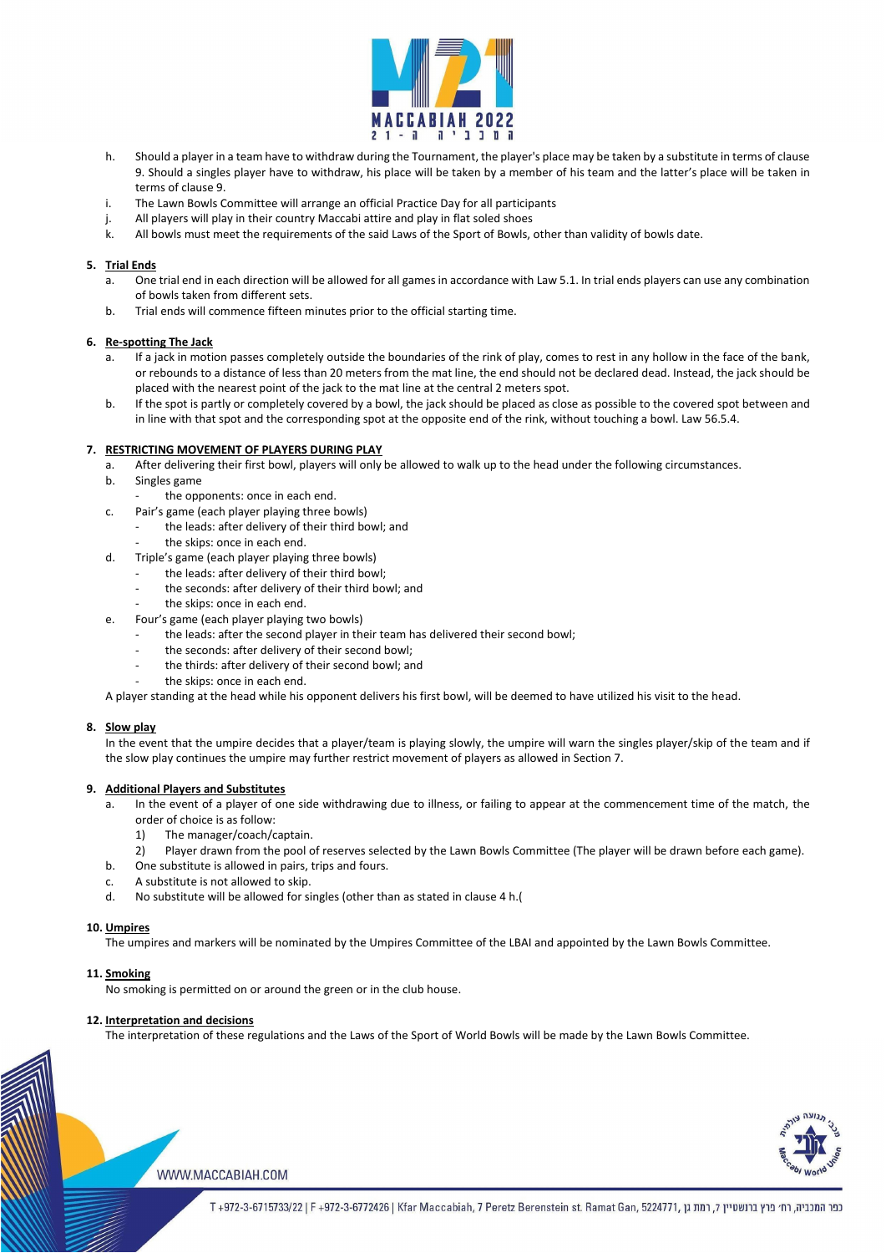

- h. Should a player in a team have to withdraw during the Tournament, the player's place may be taken by a substitute in terms of clause 9. Should a singles player have to withdraw, his place will be taken by a member of his team and the latter's place will be taken in terms of clause 9.
- i. The Lawn Bowls Committee will arrange an official Practice Day for all participants
- j. All players will play in their country Maccabi attire and play in flat soled shoes
- k. All bowls must meet the requirements of the said Laws of the Sport of Bowls, other than validity of bowls date.

#### **5. Trial Ends**

- a. One trial end in each direction will be allowed for all games in accordance with Law 5.1. In trial ends players can use any combination of bowls taken from different sets.
- b. Trial ends will commence fifteen minutes prior to the official starting time.

- a. After delivering their first bowl, players will only be allowed to walk up to the head under the following circumstances.
- b. Singles game
	- the opponents: once in each end.
- c. Pair's game (each player playing three bowls)
	- the leads: after delivery of their third bowl; and
	- the skips: once in each end.
- d. Triple's game (each player playing three bowls)
	- the leads: after delivery of their third bowl;
	- the seconds: after delivery of their third bowl; and
	- the skips: once in each end.
- e. Four's game (each player playing two bowls)
	- the leads: after the second player in their team has delivered their second bowl;
	- the seconds: after delivery of their second bowl;
	- the thirds: after delivery of their second bowl; and
	- the skips: once in each end.

#### **6. Re-spotting The Jack**

- a. If a jack in motion passes completely outside the boundaries of the rink of play, comes to rest in any hollow in the face of the bank, or rebounds to a distance of less than 20 meters from the mat line, the end should not be declared dead. Instead, the jack should be placed with the nearest point of the jack to the mat line at the central 2 meters spot.
- b. If the spot is partly or completely covered by a bowl, the jack should be placed as close as possible to the covered spot between and in line with that spot and the corresponding spot at the opposite end of the rink, without touching a bowl. Law 56.5.4.

#### **7. RESTRICTING MOVEMENT OF PLAYERS DURING PLAY**

A player standing at the head while his opponent delivers his first bowl, will be deemed to have utilized his visit to the head.

#### **8. Slow play**

In the event that the umpire decides that a player/team is playing slowly, the umpire will warn the singles player/skip of the team and if the slow play continues the umpire may further restrict movement of players as allowed in Section 7.

#### **9. Additional Players and Substitutes**

- a. In the event of a player of one side withdrawing due to illness, or failing to appear at the commencement time of the match, the order of choice is as follow:
	- 1) The manager/coach/captain.
	- 2) Player drawn from the pool of reserves selected by the Lawn Bowls Committee (The player will be drawn before each game).
- b. One substitute is allowed in pairs, trips and fours.
- c. A substitute is not allowed to skip.
- d. No substitute will be allowed for singles (other than as stated in clause 4 h.(

#### **10. Umpires**

The umpires and markers will be nominated by the Umpires Committee of the LBAI and appointed by the Lawn Bowls Committee.

#### **11. Smoking**

No smoking is permitted on or around the green or in the club house.

#### **12. Interpretation and decisions**

The interpretation of these regulations and the Laws of the Sport of World Bowls will be made by the Lawn Bowls Committee.





כפר המכביה, רח׳ פרץ ברנשטיין 7, רמת גן ,6724771, T+972-3-6715733/22 | F+972-3-6772426 | Kfar Maccabiah, 7 Peretz Berenstein st. Ramat Gan, 5224771